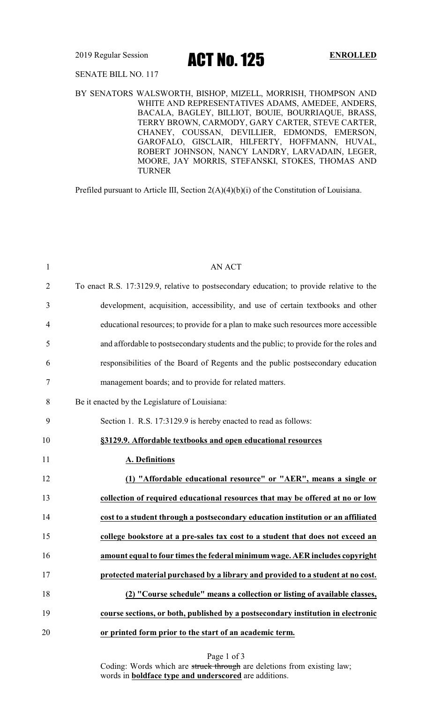2019 Regular Session **ACT No. 125** ENROLLED

### SENATE BILL NO. 117

BY SENATORS WALSWORTH, BISHOP, MIZELL, MORRISH, THOMPSON AND WHITE AND REPRESENTATIVES ADAMS, AMEDEE, ANDERS, BACALA, BAGLEY, BILLIOT, BOUIE, BOURRIAQUE, BRASS, TERRY BROWN, CARMODY, GARY CARTER, STEVE CARTER, CHANEY, COUSSAN, DEVILLIER, EDMONDS, EMERSON, GAROFALO, GISCLAIR, HILFERTY, HOFFMANN, HUVAL, ROBERT JOHNSON, NANCY LANDRY, LARVADAIN, LEGER, MOORE, JAY MORRIS, STEFANSKI, STOKES, THOMAS AND TURNER

Prefiled pursuant to Article III, Section 2(A)(4)(b)(i) of the Constitution of Louisiana.

| $\mathbf{1}$   | <b>AN ACT</b>                                                                            |
|----------------|------------------------------------------------------------------------------------------|
| $\overline{2}$ | To enact R.S. 17:3129.9, relative to postsecondary education; to provide relative to the |
| 3              | development, acquisition, accessibility, and use of certain textbooks and other          |
| 4              | educational resources; to provide for a plan to make such resources more accessible      |
| 5              | and affordable to postsecondary students and the public; to provide for the roles and    |
| 6              | responsibilities of the Board of Regents and the public postsecondary education          |
| 7              | management boards; and to provide for related matters.                                   |
| 8              | Be it enacted by the Legislature of Louisiana:                                           |
| 9              | Section 1. R.S. 17:3129.9 is hereby enacted to read as follows:                          |
| 10             | §3129.9. Affordable textbooks and open educational resources                             |
| 11             | A. Definitions                                                                           |
| 12             | (1) "Affordable educational resource" or "AER", means a single or                        |
| 13             | collection of required educational resources that may be offered at no or low            |
| 14             | cost to a student through a postsecondary education institution or an affiliated         |
| 15             | college bookstore at a pre-sales tax cost to a student that does not exceed an           |
| 16             | amount equal to four times the federal minimum wage. AER includes copyright              |
| 17             | protected material purchased by a library and provided to a student at no cost.          |
| 18             | (2) "Course schedule" means a collection or listing of available classes,                |
| 19             | course sections, or both, published by a postsecondary institution in electronic         |
|                |                                                                                          |
| 20             | or printed form prior to the start of an academic term.                                  |

Page 1 of 3

Coding: Words which are struck through are deletions from existing law; words in **boldface type and underscored** are additions.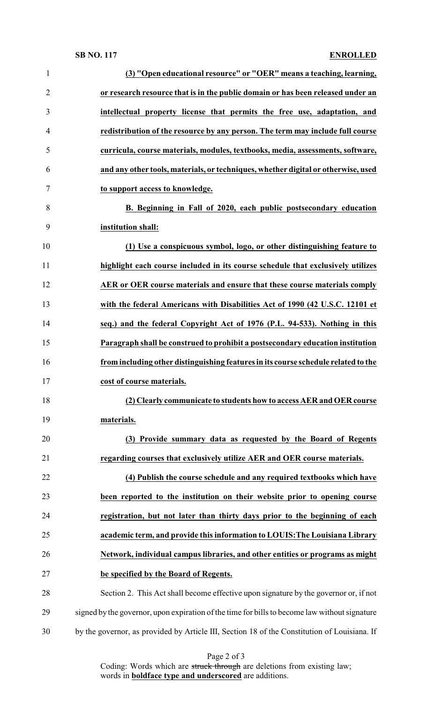### **SB NO. 117 ENROLLED**

| $\mathbf{1}$   | (3) "Open educational resource" or "OER" means a teaching, learning,                          |
|----------------|-----------------------------------------------------------------------------------------------|
| $\overline{2}$ | or research resource that is in the public domain or has been released under an               |
| 3              | intellectual property license that permits the free use, adaptation, and                      |
| $\overline{4}$ | redistribution of the resource by any person. The term may include full course                |
| 5              | curricula, course materials, modules, textbooks, media, assessments, software,                |
| 6              | and any other tools, materials, or techniques, whether digital or otherwise, used             |
| $\overline{7}$ | to support access to knowledge.                                                               |
| 8              | B. Beginning in Fall of 2020, each public postsecondary education                             |
| 9              | institution shall:                                                                            |
| 10             | (1) Use a conspicuous symbol, logo, or other distinguishing feature to                        |
| 11             | highlight each course included in its course schedule that exclusively utilizes               |
| 12             | AER or OER course materials and ensure that these course materials comply                     |
| 13             | with the federal Americans with Disabilities Act of 1990 (42 U.S.C. 12101 et                  |
| 14             | seq.) and the federal Copyright Act of 1976 (P.L. 94-533). Nothing in this                    |
| 15             | Paragraph shall be construed to prohibit a postsecondary education institution                |
| 16             | from including other distinguishing features in its course schedule related to the            |
| 17             | cost of course materials.                                                                     |
| 18             | (2) Clearly communicate to students how to access AER and OER course                          |
| 19             | materials.                                                                                    |
| 20             | (3) Provide summary data as requested by the Board of Regents                                 |
| 21             | regarding courses that exclusively utilize AER and OER course materials.                      |
| 22             | (4) Publish the course schedule and any required textbooks which have                         |
| 23             | been reported to the institution on their website prior to opening course                     |
| 24             | registration, but not later than thirty days prior to the beginning of each                   |
| 25             | academic term, and provide this information to LOUIS: The Louisiana Library                   |
| 26             | Network, individual campus libraries, and other entities or programs as might                 |
| 27             | be specified by the Board of Regents.                                                         |
| 28             | Section 2. This Act shall become effective upon signature by the governor or, if not          |
| 29             | signed by the governor, upon expiration of the time for bills to become law without signature |
| 30             | by the governor, as provided by Article III, Section 18 of the Constitution of Louisiana. If  |

Page 2 of 3

Coding: Words which are struck through are deletions from existing law; words in **boldface type and underscored** are additions.